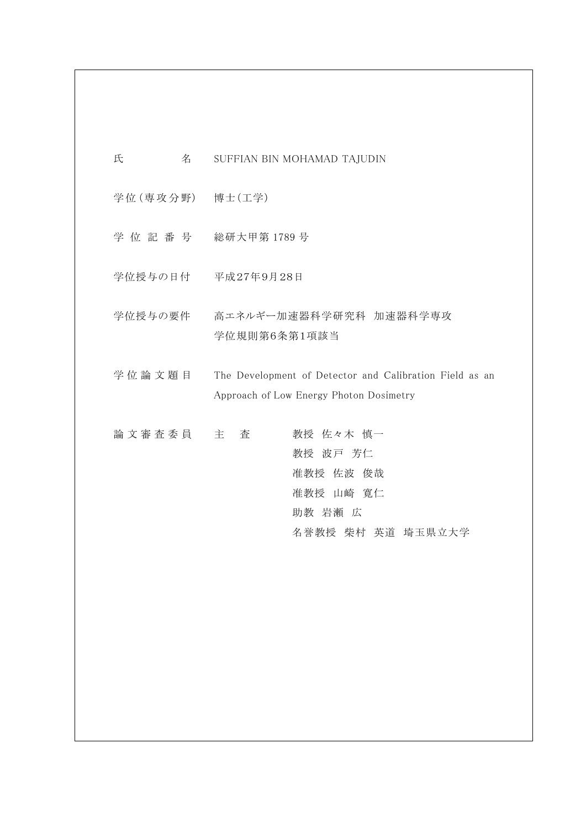| 氏               | 名 | SUFFIAN BIN MOHAMAD TAJUDIN                                                                        |
|-----------------|---|----------------------------------------------------------------------------------------------------|
| 学位(専攻分野) 博士(工学) |   |                                                                                                    |
| 学 位 記 番 号       |   | 総研大甲第1789号                                                                                         |
| 学位授与の日付         |   | 平成27年9月28日                                                                                         |
| 学位授与の要件         |   | 高エネルギー加速器科学研究科 加速器科学専攻<br>学位規則第6条第1項該当                                                             |
| 学位論文題目          |   | The Development of Detector and Calibration Field as an<br>Approach of Low Energy Photon Dosimetry |
| 論文審査委員          |   | 教授 佐々木 慎一<br>主<br>査<br>教授 波戸 芳仁<br>准教授 佐波 俊哉<br>准教授 山崎 寛仁<br>助教 岩瀬 広<br>名誉教授 柴村 英道 埼玉県立大学          |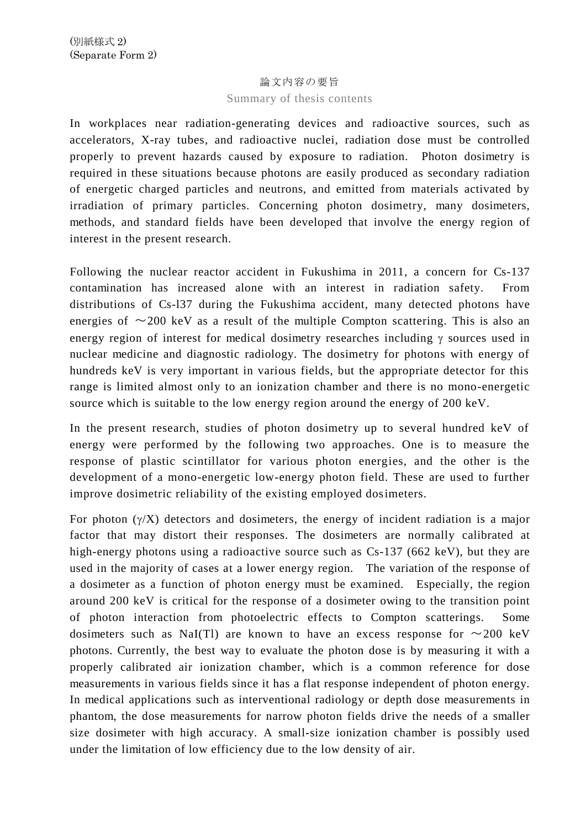## 論文内容の要旨

## Summary of thesis contents

In workplaces near radiation-generating devices and radioactive sources, such as accelerators, X-ray tubes, and radioactive nuclei, radiation dose must be controlled properly to prevent hazards caused by exposure to radiation. Photon dosimetry is required in these situations because photons are easily produced as secondary radiation of energetic charged particles and neutrons, and emitted from materials activated by irradiation of primary particles. Concerning photon dosimetry, many dosimeters, methods, and standard fields have been developed that involve the energy region of interest in the present research.

Following the nuclear reactor accident in Fukushima in 2011, a concern for Cs-137 contamination has increased alone with an interest in radiation safety. From distributions of Cs-l37 during the Fukushima accident, many detected photons have energies of  $\sim$ 200 keV as a result of the multiple Compton scattering. This is also an energy region of interest for medical dosimetry researches including  $\gamma$  sources used in nuclear medicine and diagnostic radiology. The dosimetry for photons with energy of hundreds keV is very important in various fields, but the appropriate detector for this range is limited almost only to an ionization chamber and there is no mono-energetic source which is suitable to the low energy region around the energy of 200 keV.

In the present research, studies of photon dosimetry up to several hundred keV of energy were performed by the following two approaches. One is to measure the response of plastic scintillator for various photon energies, and the other is the development of a mono-energetic low-energy photon field. These are used to further improve dosimetric reliability of the existing employed dosimeters.

For photon  $(\gamma/X)$  detectors and dosimeters, the energy of incident radiation is a major factor that may distort their responses. The dosimeters are normally calibrated at high-energy photons using a radioactive source such as Cs-137 (662 keV), but they are used in the majority of cases at a lower energy region. The variation of the response of a dosimeter as a function of photon energy must be examined. Especially, the region around 200 keV is critical for the response of a dosimeter owing to the transition point of photon interaction from photoelectric effects to Compton scatterings. Some dosimeters such as NaI(Tl) are known to have an excess response for  $\sim$ 200 keV photons. Currently, the best way to evaluate the photon dose is by measuring it with a properly calibrated air ionization chamber, which is a common reference for dose measurements in various fields since it has a flat response independent of photon energy. In medical applications such as interventional radiology or depth dose measurements in phantom, the dose measurements for narrow photon fields drive the needs of a smaller size dosimeter with high accuracy. A small-size ionization chamber is possibly used under the limitation of low efficiency due to the low density of air.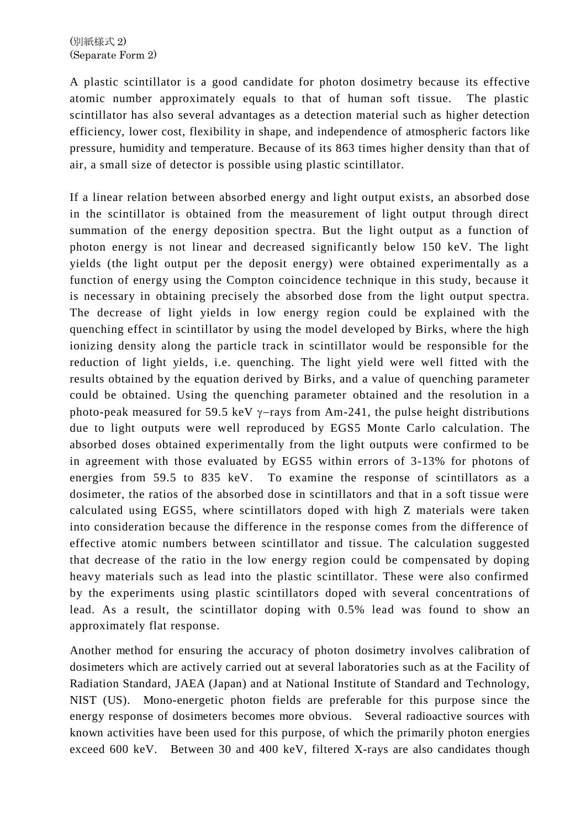A plastic scintillator is a good candidate for photon dosimetry because its effective atomic number approximately equals to that of human soft tissue. The plastic scintillator has also several advantages as a detection material such as higher detection efficiency, lower cost, flexibility in shape, and independence of atmospheric factors like pressure, humidity and temperature. Because of its 863 times higher density than that of air, a small size of detector is possible using plastic scintillator.

If a linear relation between absorbed energy and light output exists, an absorbed dose in the scintillator is obtained from the measurement of light output through direct summation of the energy deposition spectra. But the light output as a function of photon energy is not linear and decreased significantly below 150 keV. The light yields (the light output per the deposit energy) were obtained experimentally as a function of energy using the Compton coincidence technique in this study, because it is necessary in obtaining precisely the absorbed dose from the light output spectra. The decrease of light yields in low energy region could be explained with the quenching effect in scintillator by using the model developed by Birks, where the high ionizing density along the particle track in scintillator would be responsible for the reduction of light yields, i.e. quenching. The light yield were well fitted with the results obtained by the equation derived by Birks, and a value of quenching parameter could be obtained. Using the quenching parameter obtained and the resolution in a photo-peak measured for 59.5 keV  $\gamma$ -rays from Am-241, the pulse height distributions due to light outputs were well reproduced by EGS5 Monte Carlo calculation. The absorbed doses obtained experimentally from the light outputs were confirmed to be in agreement with those evaluated by EGS5 within errors of 3-13% for photons of energies from 59.5 to 835 keV. To examine the response of scintillators as a dosimeter, the ratios of the absorbed dose in scintillators and that in a soft tissue were calculated using EGS5, where scintillators doped with high Z materials were taken into consideration because the difference in the response comes from the difference of effective atomic numbers between scintillator and tissue. The calculation suggested that decrease of the ratio in the low energy region could be compensated by doping heavy materials such as lead into the plastic scintillator. These were also confirmed by the experiments using plastic scintillators doped with several concentrations of lead. As a result, the scintillator doping with 0.5% lead was found to show an approximately flat response.

Another method for ensuring the accuracy of photon dosimetry involves calibration of dosimeters which are actively carried out at several laboratories such as at the Facility of Radiation Standard, JAEA (Japan) and at National Institute of Standard and Technology, NIST (US). Mono-energetic photon fields are preferable for this purpose since the energy response of dosimeters becomes more obvious. Several radioactive sources with known activities have been used for this purpose, of which the primarily photon energies exceed 600 keV. Between 30 and 400 keV, filtered X-rays are also candidates though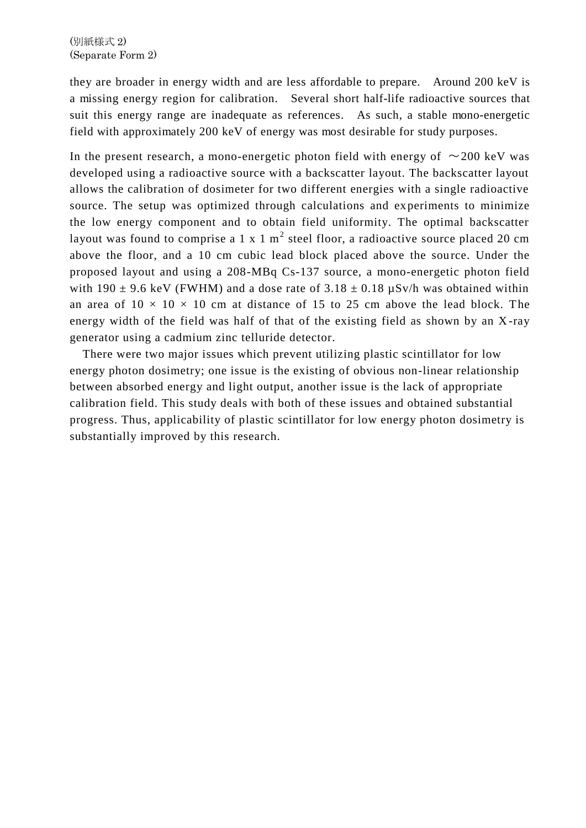they are broader in energy width and are less affordable to prepare. Around 200 keV is a missing energy region for calibration. Several short half-life radioactive sources that suit this energy range are inadequate as references. As such, a stable mono-energetic field with approximately 200 keV of energy was most desirable for study purposes.

In the present research, a mono-energetic photon field with energy of  $\sim$ 200 keV was developed using a radioactive source with a backscatter layout. The backscatter layout allows the calibration of dosimeter for two different energies with a single radioactive source. The setup was optimized through calculations and experiments to minimize the low energy component and to obtain field uniformity. The optimal backscatter layout was found to comprise a 1 x 1 m<sup>2</sup> steel floor, a radioactive source placed 20 cm above the floor, and a 10 cm cubic lead block placed above the source. Under the proposed layout and using a 208-MBq Cs-137 source, a mono-energetic photon field with 190  $\pm$  9.6 keV (FWHM) and a dose rate of 3.18  $\pm$  0.18  $\mu$ Sv/h was obtained within an area of  $10 \times 10 \times 10$  cm at distance of 15 to 25 cm above the lead block. The energy width of the field was half of that of the existing field as shown by an X-ray generator using a cadmium zinc telluride detector.

There were two major issues which prevent utilizing plastic scintillator for low energy photon dosimetry; one issue is the existing of obvious non-linear relationship between absorbed energy and light output, another issue is the lack of appropriate calibration field. This study deals with both of these issues and obtained substantial progress. Thus, applicability of plastic scintillator for low energy photon dosimetry is substantially improved by this research.